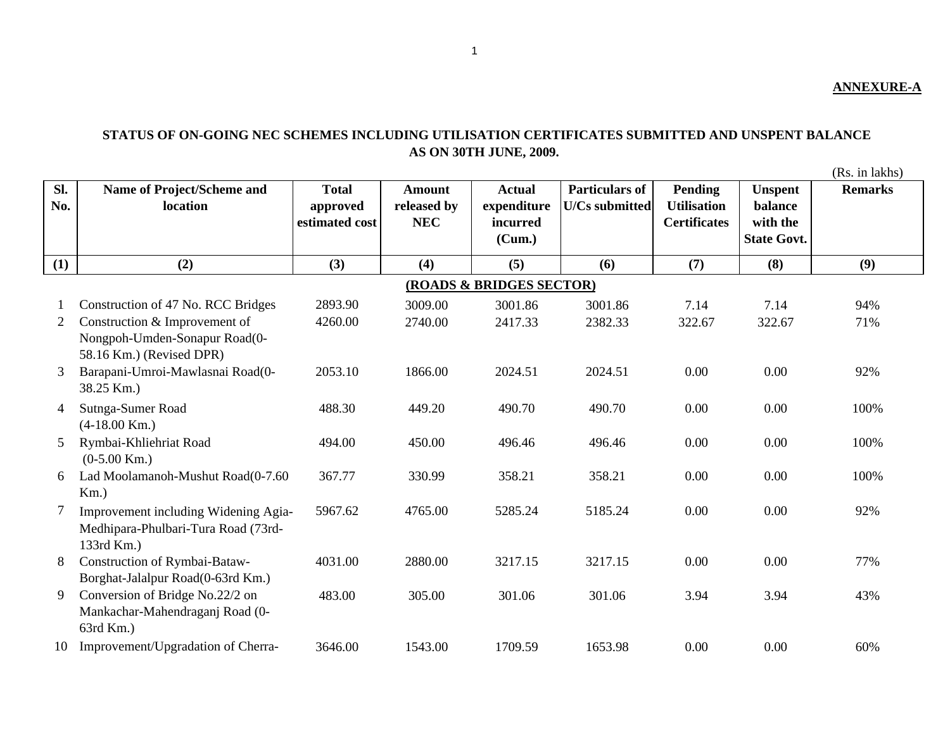## **STATUS OF ON-GOING NEC SCHEMES INCLUDING UTILISATION CERTIFICATES SUBMITTED AND UNSPENT BALANCE AS ON 30TH JUNE, 2009.**

(Rs. in lakhs)

| SI.<br>No. | Name of Project/Scheme and<br>location                    | <b>Total</b><br>approved<br>estimated cost | <b>Amount</b><br>released by<br><b>NEC</b> | <b>Actual</b><br>expenditure<br>incurred<br>(Cum.) | <b>Particulars of</b><br><b>U/Cs submitted</b> | Pending<br><b>Utilisation</b><br><b>Certificates</b> | <b>Unspent</b><br>balance<br>with the<br><b>State Govt.</b> | <b>Remarks</b> |
|------------|-----------------------------------------------------------|--------------------------------------------|--------------------------------------------|----------------------------------------------------|------------------------------------------------|------------------------------------------------------|-------------------------------------------------------------|----------------|
| (1)        | (2)                                                       | (3)                                        | (4)                                        | (5)                                                | (6)                                            | (7)                                                  | (8)                                                         | (9)            |
|            |                                                           |                                            |                                            | (ROADS & BRIDGES SECTOR)                           |                                                |                                                      |                                                             |                |
|            | Construction of 47 No. RCC Bridges                        | 2893.90                                    | 3009.00                                    | 3001.86                                            | 3001.86                                        | 7.14                                                 | 7.14                                                        | 94%            |
| 2          | Construction & Improvement of                             | 4260.00                                    | 2740.00                                    | 2417.33                                            | 2382.33                                        | 322.67                                               | 322.67                                                      | 71%            |
|            | Nongpoh-Umden-Sonapur Road(0-<br>58.16 Km.) (Revised DPR) |                                            |                                            |                                                    |                                                |                                                      |                                                             |                |
| 3          | Barapani-Umroi-Mawlasnai Road(0-<br>38.25 Km.)            | 2053.10                                    | 1866.00                                    | 2024.51                                            | 2024.51                                        | 0.00                                                 | 0.00                                                        | 92%            |
| 4          | Sutnga-Sumer Road<br>$(4-18.00$ Km.)                      | 488.30                                     | 449.20                                     | 490.70                                             | 490.70                                         | 0.00                                                 | 0.00                                                        | 100%           |
| 5          | Rymbai-Khliehriat Road                                    | 494.00                                     | 450.00                                     | 496.46                                             | 496.46                                         | 0.00                                                 | 0.00                                                        | 100%           |
|            | $(0-5.00$ Km.)                                            |                                            |                                            |                                                    |                                                |                                                      |                                                             |                |
| 6          | Lad Moolamanoh-Mushut Road(0-7.60                         | 367.77                                     | 330.99                                     | 358.21                                             | 358.21                                         | 0.00                                                 | 0.00                                                        | 100%           |
|            | $Km$ .)                                                   |                                            |                                            |                                                    |                                                |                                                      |                                                             |                |
| 7          | Improvement including Widening Agia-                      | 5967.62                                    | 4765.00                                    | 5285.24                                            | 5185.24                                        | 0.00                                                 | 0.00                                                        | 92%            |
|            | Medhipara-Phulbari-Tura Road (73rd-<br>133rd Km.)         |                                            |                                            |                                                    |                                                |                                                      |                                                             |                |
| 8          | Construction of Rymbai-Bataw-                             | 4031.00                                    | 2880.00                                    | 3217.15                                            | 3217.15                                        | 0.00                                                 | 0.00                                                        | 77%            |
|            | Borghat-Jalalpur Road(0-63rd Km.)                         |                                            |                                            |                                                    |                                                |                                                      |                                                             |                |
| 9          | Conversion of Bridge No.22/2 on                           | 483.00                                     | 305.00                                     | 301.06                                             | 301.06                                         | 3.94                                                 | 3.94                                                        | 43%            |
|            | Mankachar-Mahendraganj Road (0-<br>63rd Km.)              |                                            |                                            |                                                    |                                                |                                                      |                                                             |                |
| 10         | Improvement/Upgradation of Cherra-                        | 3646.00                                    | 1543.00                                    | 1709.59                                            | 1653.98                                        | 0.00                                                 | 0.00                                                        | 60%            |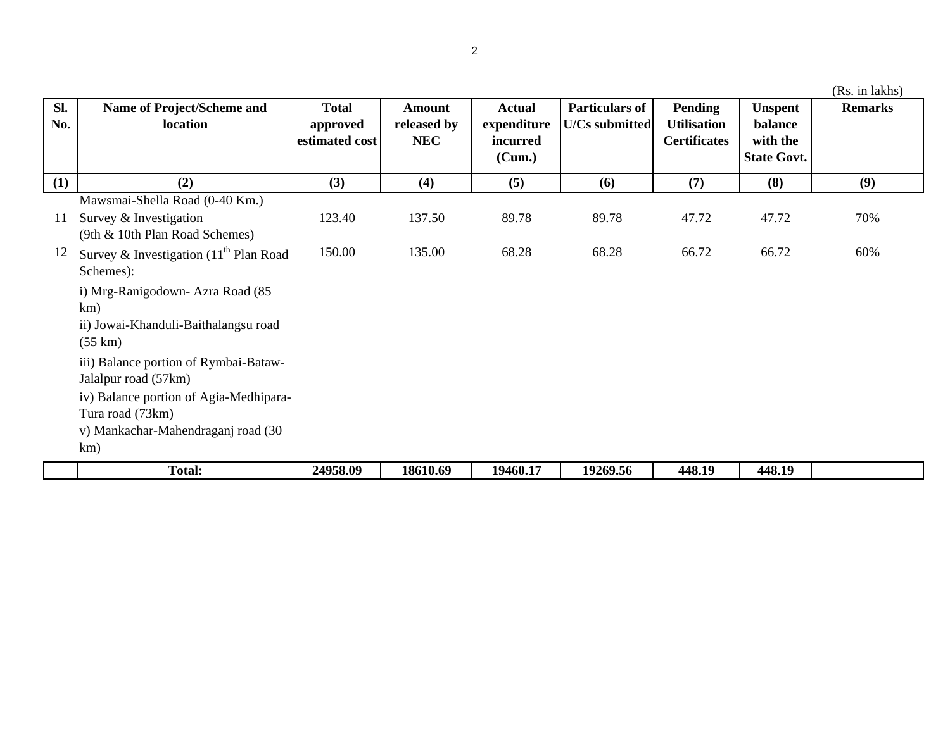|     |                                          |                |             |               |                       |                     |                    | (Rs. in lakhs) |
|-----|------------------------------------------|----------------|-------------|---------------|-----------------------|---------------------|--------------------|----------------|
| SI. | Name of Project/Scheme and               | <b>Total</b>   | Amount      | <b>Actual</b> | <b>Particulars of</b> | Pending             | <b>Unspent</b>     | <b>Remarks</b> |
| No. | location                                 | approved       | released by | expenditure   | U/Cs submitted        | <b>Utilisation</b>  | balance            |                |
|     |                                          | estimated cost | <b>NEC</b>  | incurred      |                       | <b>Certificates</b> | with the           |                |
|     |                                          |                |             | (Cum.)        |                       |                     | <b>State Govt.</b> |                |
| (1) | (2)                                      | (3)            | (4)         | (5)           | (6)                   | (7)                 | (8)                | (9)            |
|     | Mawsmai-Shella Road (0-40 Km.)           |                |             |               |                       |                     |                    |                |
| 11  | Survey & Investigation                   | 123.40         | 137.50      | 89.78         | 89.78                 | 47.72               | 47.72              | 70%            |
|     | (9th & 10th Plan Road Schemes)           |                |             |               |                       |                     |                    |                |
| 12  | Survey & Investigation $(11th$ Plan Road | 150.00         | 135.00      | 68.28         | 68.28                 | 66.72               | 66.72              | 60%            |
|     | Schemes):                                |                |             |               |                       |                     |                    |                |
|     | i) Mrg-Ranigodown- Azra Road (85         |                |             |               |                       |                     |                    |                |
|     | km)                                      |                |             |               |                       |                     |                    |                |
|     | ii) Jowai-Khanduli-Baithalangsu road     |                |             |               |                       |                     |                    |                |
|     | $(55 \text{ km})$                        |                |             |               |                       |                     |                    |                |
|     | iii) Balance portion of Rymbai-Bataw-    |                |             |               |                       |                     |                    |                |
|     | Jalalpur road (57km)                     |                |             |               |                       |                     |                    |                |
|     | iv) Balance portion of Agia-Medhipara-   |                |             |               |                       |                     |                    |                |
|     | Tura road (73km)                         |                |             |               |                       |                     |                    |                |
|     | v) Mankachar-Mahendraganj road (30       |                |             |               |                       |                     |                    |                |
|     | km)                                      |                |             |               |                       |                     |                    |                |
|     | <b>Total:</b>                            | 24958.09       | 18610.69    | 19460.17      | 19269.56              | 448.19              | 448.19             |                |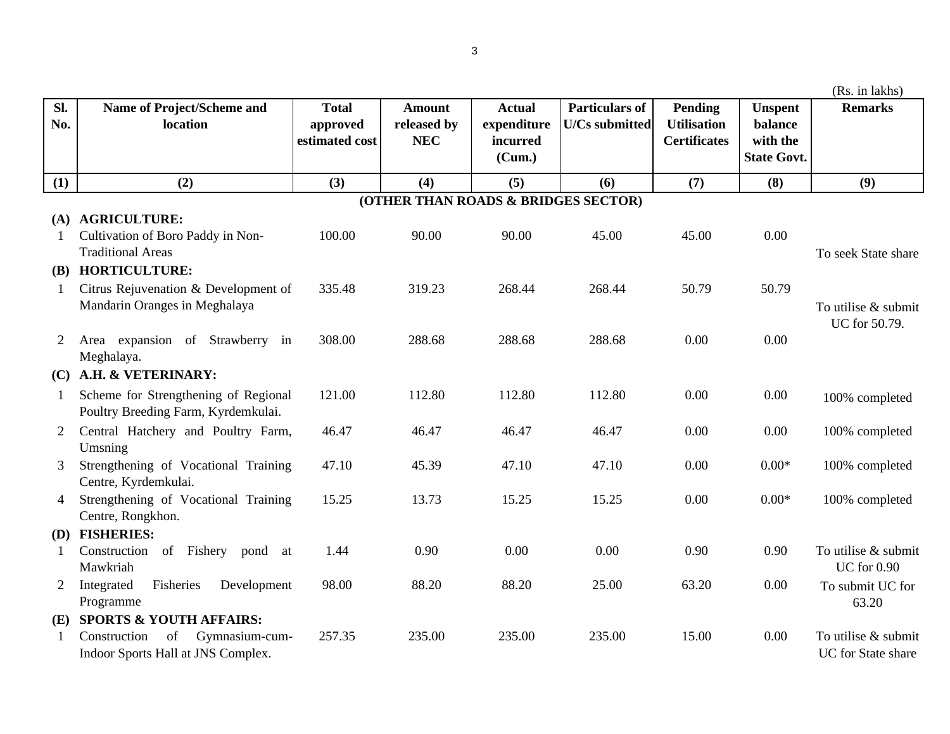|                |                                             |                          |                                     |                              |                                                |                               |                                | (Rs. in lakhs)                            |
|----------------|---------------------------------------------|--------------------------|-------------------------------------|------------------------------|------------------------------------------------|-------------------------------|--------------------------------|-------------------------------------------|
| Sl.<br>No.     | Name of Project/Scheme and<br>location      | <b>Total</b><br>approved | <b>Amount</b><br>released by        | <b>Actual</b><br>expenditure | <b>Particulars of</b><br><b>U/Cs submitted</b> | Pending<br><b>Utilisation</b> | <b>Unspent</b><br>balance      | <b>Remarks</b>                            |
|                |                                             | estimated cost           | <b>NEC</b>                          | incurred<br>(Cum.)           |                                                | <b>Certificates</b>           | with the<br><b>State Govt.</b> |                                           |
| (1)            | (2)                                         | (3)                      | (4)                                 | (5)                          | (6)                                            | (7)                           | (8)                            | (9)                                       |
|                |                                             |                          | (OTHER THAN ROADS & BRIDGES SECTOR) |                              |                                                |                               |                                |                                           |
|                | (A) AGRICULTURE:                            |                          |                                     |                              |                                                |                               |                                |                                           |
| 1              | Cultivation of Boro Paddy in Non-           | 100.00                   | 90.00                               | 90.00                        | 45.00                                          | 45.00                         | 0.00                           |                                           |
|                | <b>Traditional Areas</b>                    |                          |                                     |                              |                                                |                               |                                | To seek State share                       |
| <b>(B)</b>     | <b>HORTICULTURE:</b>                        |                          |                                     |                              |                                                |                               |                                |                                           |
| $\mathbf{1}$   | Citrus Rejuvenation & Development of        | 335.48                   | 319.23                              | 268.44                       | 268.44                                         | 50.79                         | 50.79                          |                                           |
|                | Mandarin Oranges in Meghalaya               |                          |                                     |                              |                                                |                               |                                | To utilise & submit                       |
| 2              | Area expansion of Strawberry in             | 308.00                   | 288.68                              | 288.68                       | 288.68                                         | 0.00                          | 0.00                           | UC for 50.79.                             |
|                | Meghalaya.                                  |                          |                                     |                              |                                                |                               |                                |                                           |
| (C)            | A.H. & VETERINARY:                          |                          |                                     |                              |                                                |                               |                                |                                           |
| $\mathbf{1}$   | Scheme for Strengthening of Regional        | 121.00                   | 112.80                              | 112.80                       | 112.80                                         | 0.00                          | 0.00                           | 100% completed                            |
|                | Poultry Breeding Farm, Kyrdemkulai.         |                          |                                     |                              |                                                |                               |                                |                                           |
| $\overline{2}$ | Central Hatchery and Poultry Farm,          | 46.47                    | 46.47                               | 46.47                        | 46.47                                          | 0.00                          | 0.00                           | 100% completed                            |
|                | Umsning                                     |                          |                                     |                              |                                                |                               |                                |                                           |
| 3              | Strengthening of Vocational Training        | 47.10                    | 45.39                               | 47.10                        | 47.10                                          | 0.00                          | $0.00*$                        | 100% completed                            |
|                | Centre, Kyrdemkulai.                        |                          |                                     |                              |                                                |                               |                                |                                           |
| 4              | Strengthening of Vocational Training        | 15.25                    | 13.73                               | 15.25                        | 15.25                                          | 0.00                          | $0.00*$                        | 100% completed                            |
|                | Centre, Rongkhon.                           |                          |                                     |                              |                                                |                               |                                |                                           |
| <b>(D)</b>     | <b>FISHERIES:</b>                           |                          |                                     |                              |                                                |                               |                                |                                           |
| $\mathbf{1}$   | Construction of Fishery pond at<br>Mawkriah | 1.44                     | 0.90                                | 0.00                         | 0.00                                           | 0.90                          | 0.90                           | To utilise & submit<br><b>UC</b> for 0.90 |
| 2              | Integrated<br>Fisheries<br>Development      | 98.00                    | 88.20                               | 88.20                        | 25.00                                          | 63.20                         | 0.00                           | To submit UC for                          |
|                | Programme                                   |                          |                                     |                              |                                                |                               |                                | 63.20                                     |
| (E)            | <b>SPORTS &amp; YOUTH AFFAIRS:</b>          |                          |                                     |                              |                                                |                               |                                |                                           |
|                | Construction<br>of<br>Gymnasium-cum-        | 257.35                   | 235.00                              | 235.00                       | 235.00                                         | 15.00                         | 0.00                           | To utilise & submit                       |
|                | Indoor Sports Hall at JNS Complex.          |                          |                                     |                              |                                                |                               |                                | UC for State share                        |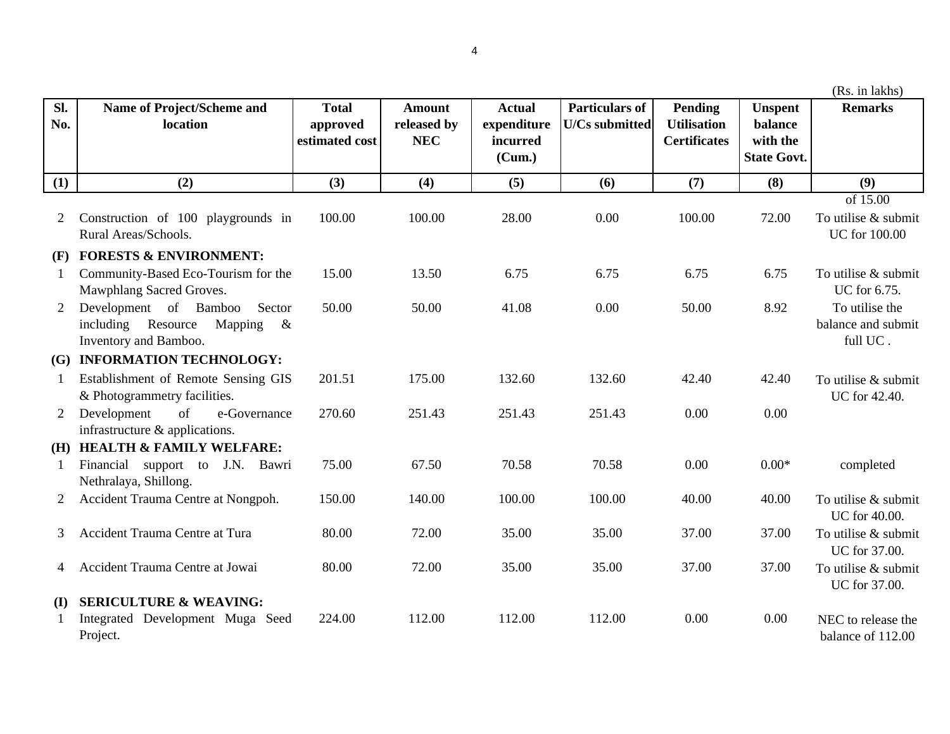|                |                                                                                                   |                                            |                                            |                                                    |                                                |                                                      |                                                             | (Rs. in lakhs)                                          |
|----------------|---------------------------------------------------------------------------------------------------|--------------------------------------------|--------------------------------------------|----------------------------------------------------|------------------------------------------------|------------------------------------------------------|-------------------------------------------------------------|---------------------------------------------------------|
| SI.<br>No.     | Name of Project/Scheme and<br>location                                                            | <b>Total</b><br>approved<br>estimated cost | <b>Amount</b><br>released by<br><b>NEC</b> | <b>Actual</b><br>expenditure<br>incurred<br>(Cum.) | <b>Particulars of</b><br><b>U/Cs</b> submitted | Pending<br><b>Utilisation</b><br><b>Certificates</b> | <b>Unspent</b><br>balance<br>with the<br><b>State Govt.</b> | <b>Remarks</b>                                          |
| (1)            | (2)                                                                                               | (3)                                        | (4)                                        | (5)                                                | (6)                                            | (7)                                                  | (8)                                                         | (9)                                                     |
| 2              | Construction of 100 playgrounds in<br>Rural Areas/Schools.                                        | 100.00                                     | 100.00                                     | 28.00                                              | 0.00                                           | 100.00                                               | 72.00                                                       | of 15.00<br>To utilise & submit<br><b>UC</b> for 100.00 |
| (F)            | <b>FORESTS &amp; ENVIRONMENT:</b>                                                                 |                                            |                                            |                                                    |                                                |                                                      |                                                             |                                                         |
| 1              | Community-Based Eco-Tourism for the<br>Mawphlang Sacred Groves.                                   | 15.00                                      | 13.50                                      | 6.75                                               | 6.75                                           | 6.75                                                 | 6.75                                                        | To utilise & submit<br>UC for 6.75.                     |
| $\overline{2}$ | Development of Bamboo<br>Sector<br>including<br>Resource<br>Mapping $\&$<br>Inventory and Bamboo. | 50.00                                      | 50.00                                      | 41.08                                              | 0.00                                           | 50.00                                                | 8.92                                                        | To utilise the<br>balance and submit<br>full UC.        |
| (G)            | <b>INFORMATION TECHNOLOGY:</b>                                                                    |                                            |                                            |                                                    |                                                |                                                      |                                                             |                                                         |
| 1              | Establishment of Remote Sensing GIS<br>& Photogrammetry facilities.                               | 201.51                                     | 175.00                                     | 132.60                                             | 132.60                                         | 42.40                                                | 42.40                                                       | To utilise & submit<br>UC for 42.40.                    |
| $\overline{2}$ | of<br>Development<br>e-Governance<br>infrastructure & applications.                               | 270.60                                     | 251.43                                     | 251.43                                             | 251.43                                         | 0.00                                                 | 0.00                                                        |                                                         |
| (H)            | <b>HEALTH &amp; FAMILY WELFARE:</b>                                                               |                                            |                                            |                                                    |                                                |                                                      |                                                             |                                                         |
| $\mathbf{1}$   | Financial support to J.N. Bawri<br>Nethralaya, Shillong.                                          | 75.00                                      | 67.50                                      | 70.58                                              | 70.58                                          | 0.00                                                 | $0.00*$                                                     | completed                                               |
| $\overline{2}$ | Accident Trauma Centre at Nongpoh.                                                                | 150.00                                     | 140.00                                     | 100.00                                             | 100.00                                         | 40.00                                                | 40.00                                                       | To utilise & submit<br>UC for 40.00.                    |
| 3              | Accident Trauma Centre at Tura                                                                    | 80.00                                      | 72.00                                      | 35.00                                              | 35.00                                          | 37.00                                                | 37.00                                                       | To utilise & submit<br>UC for 37.00.                    |
| 4              | Accident Trauma Centre at Jowai                                                                   | 80.00                                      | 72.00                                      | 35.00                                              | 35.00                                          | 37.00                                                | 37.00                                                       | To utilise & submit<br>UC for 37.00.                    |
| (I)            | <b>SERICULTURE &amp; WEAVING:</b><br>Integrated Development Muga Seed<br>Project.                 | 224.00                                     | 112.00                                     | 112.00                                             | 112.00                                         | 0.00                                                 | 0.00                                                        | NEC to release the<br>balance of 112.00                 |

4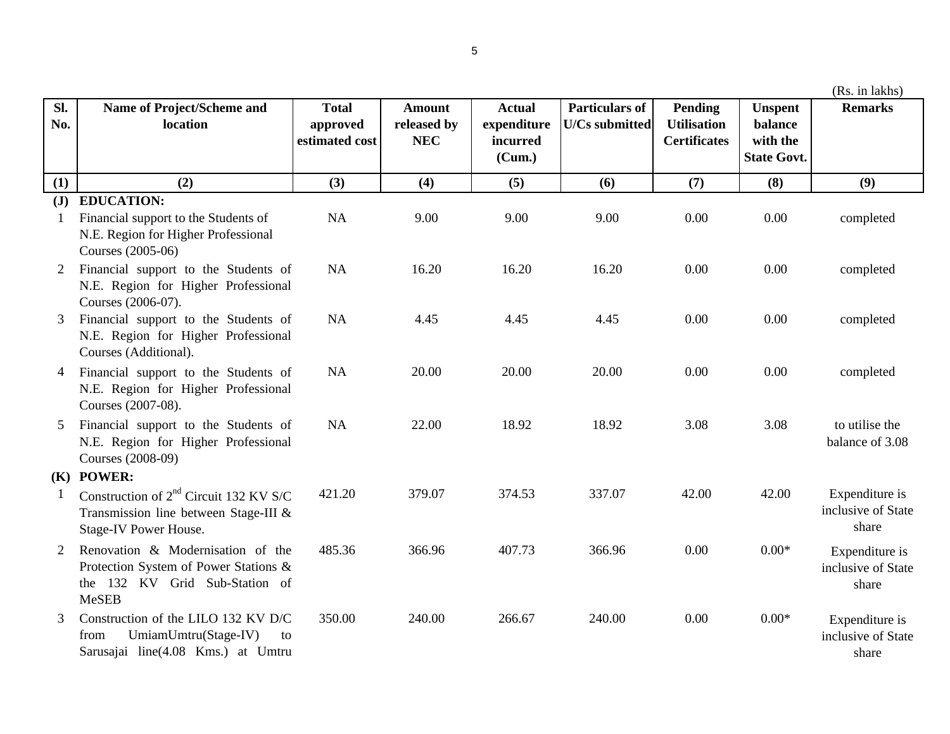| (Rs. in lakhs) |  |  |
|----------------|--|--|
|                |  |  |
|                |  |  |
|                |  |  |

| Sl.<br>No.     | Name of Project/Scheme and<br>location                                                                                       | <b>Total</b><br>approved<br>estimated cost | <b>Amount</b><br>released by<br><b>NEC</b> | <b>Actual</b><br>expenditure<br>incurred | <b>Particulars of</b><br><b>U/Cs</b> submitted | Pending<br><b>Utilisation</b><br><b>Certificates</b> | <b>Unspent</b><br>balance<br>with the | <b>Remarks</b>                                |
|----------------|------------------------------------------------------------------------------------------------------------------------------|--------------------------------------------|--------------------------------------------|------------------------------------------|------------------------------------------------|------------------------------------------------------|---------------------------------------|-----------------------------------------------|
|                |                                                                                                                              |                                            |                                            | (Cum.)                                   |                                                |                                                      | <b>State Govt.</b>                    |                                               |
| (1)            | (2)                                                                                                                          | (3)                                        | (4)                                        | (5)                                      | (6)                                            | (7)                                                  | (8)                                   | (9)                                           |
| $(\mathbf{J})$ | <b>EDUCATION:</b><br>Financial support to the Students of                                                                    | <b>NA</b>                                  | 9.00                                       | 9.00                                     | 9.00                                           | 0.00                                                 | 0.00                                  | completed                                     |
|                | N.E. Region for Higher Professional<br>Courses (2005-06)                                                                     |                                            |                                            |                                          |                                                |                                                      |                                       |                                               |
| 2              | Financial support to the Students of<br>N.E. Region for Higher Professional<br>Courses (2006-07).                            | <b>NA</b>                                  | 16.20                                      | 16.20                                    | 16.20                                          | 0.00                                                 | 0.00                                  | completed                                     |
|                | Financial support to the Students of<br>N.E. Region for Higher Professional<br>Courses (Additional).                         | <b>NA</b>                                  | 4.45                                       | 4.45                                     | 4.45                                           | 0.00                                                 | 0.00                                  | completed                                     |
| $\overline{4}$ | Financial support to the Students of<br>N.E. Region for Higher Professional<br>Courses (2007-08).                            | <b>NA</b>                                  | 20.00                                      | 20.00                                    | 20.00                                          | 0.00                                                 | 0.00                                  | completed                                     |
| 5              | Financial support to the Students of<br>N.E. Region for Higher Professional<br>Courses (2008-09)                             | NA                                         | 22.00                                      | 18.92                                    | 18.92                                          | 3.08                                                 | 3.08                                  | to utilise the<br>balance of 3.08             |
|                | (K) POWER:                                                                                                                   |                                            |                                            |                                          |                                                |                                                      |                                       |                                               |
|                | Construction of $2nd$ Circuit 132 KV S/C<br>Transmission line between Stage-III &<br><b>Stage-IV Power House.</b>            | 421.20                                     | 379.07                                     | 374.53                                   | 337.07                                         | 42.00                                                | 42.00                                 | Expenditure is<br>inclusive of State<br>share |
| 2              | Renovation & Modernisation of the<br>Protection System of Power Stations &<br>the 132 KV Grid Sub-Station of<br><b>MeSEB</b> | 485.36                                     | 366.96                                     | 407.73                                   | 366.96                                         | 0.00                                                 | $0.00*$                               | Expenditure is<br>inclusive of State<br>share |
| 3              | Construction of the LILO 132 KV D/C<br>UmiamUmtru(Stage-IV)<br>from<br>to<br>Sarusajai line(4.08 Kms.) at Umtru              | 350.00                                     | 240.00                                     | 266.67                                   | 240.00                                         | 0.00                                                 | $0.00*$                               | Expenditure is<br>inclusive of State<br>share |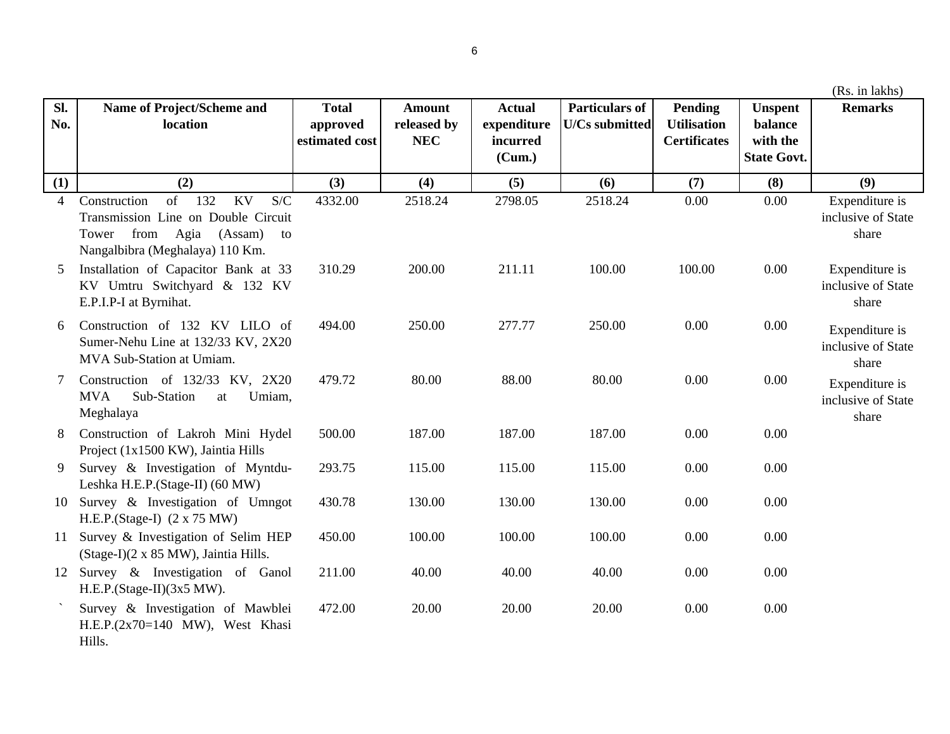| Sl.<br>No. | Name of Project/Scheme and<br>location                                                                                                            | <b>Total</b><br>approved<br>estimated cost | <b>Amount</b><br>released by<br><b>NEC</b> | <b>Actual</b><br>expenditure<br>incurred<br>(Cum.) | <b>Particulars of</b><br><b>U/Cs submitted</b> | <b>Pending</b><br><b>Utilisation</b><br><b>Certificates</b> | <b>Unspent</b><br>balance<br>with the<br><b>State Govt.</b> | <b>Remarks</b>                                |
|------------|---------------------------------------------------------------------------------------------------------------------------------------------------|--------------------------------------------|--------------------------------------------|----------------------------------------------------|------------------------------------------------|-------------------------------------------------------------|-------------------------------------------------------------|-----------------------------------------------|
| (1)        | (2)                                                                                                                                               | (3)                                        | (4)                                        | (5)                                                | (6)                                            | (7)                                                         | (8)                                                         | (9)                                           |
| 4          | of<br>132<br>KV<br>S/C<br>Construction<br>Transmission Line on Double Circuit<br>Tower from Agia (Assam)<br>to<br>Nangalbibra (Meghalaya) 110 Km. | 4332.00                                    | 2518.24                                    | 2798.05                                            | 2518.24                                        | 0.00                                                        | 0.00                                                        | Expenditure is<br>inclusive of State<br>share |
| 5          | Installation of Capacitor Bank at 33<br>KV Umtru Switchyard & 132 KV<br>E.P.I.P-I at Byrnihat.                                                    | 310.29                                     | 200.00                                     | 211.11                                             | 100.00                                         | 100.00                                                      | 0.00                                                        | Expenditure is<br>inclusive of State<br>share |
| 6          | Construction of 132 KV LILO of<br>Sumer-Nehu Line at 132/33 KV, 2X20<br>MVA Sub-Station at Umiam.                                                 | 494.00                                     | 250.00                                     | 277.77                                             | 250.00                                         | 0.00                                                        | 0.00                                                        | Expenditure is<br>inclusive of State<br>share |
|            | Construction of 132/33 KV, 2X20<br><b>MVA</b><br>Sub-Station<br>Umiam,<br>at<br>Meghalaya                                                         | 479.72                                     | 80.00                                      | 88.00                                              | 80.00                                          | 0.00                                                        | 0.00                                                        | Expenditure is<br>inclusive of State<br>share |
| 8          | Construction of Lakroh Mini Hydel<br>Project (1x1500 KW), Jaintia Hills                                                                           | 500.00                                     | 187.00                                     | 187.00                                             | 187.00                                         | 0.00                                                        | 0.00                                                        |                                               |
| 9          | Survey & Investigation of Myntdu-<br>Leshka H.E.P.(Stage-II) (60 MW)                                                                              | 293.75                                     | 115.00                                     | 115.00                                             | 115.00                                         | 0.00                                                        | 0.00                                                        |                                               |
| 10         | Survey & Investigation of Umngot<br>H.E.P.(Stage-I) $(2 \times 75 \text{ MW})$                                                                    | 430.78                                     | 130.00                                     | 130.00                                             | 130.00                                         | 0.00                                                        | 0.00                                                        |                                               |
| 11         | Survey & Investigation of Selim HEP<br>(Stage-I)(2 x 85 MW), Jaintia Hills.                                                                       | 450.00                                     | 100.00                                     | 100.00                                             | 100.00                                         | 0.00                                                        | 0.00                                                        |                                               |
| 12         | Survey & Investigation of Ganol<br>$H.E.P. (Stage-II)(3x5 MW).$                                                                                   | 211.00                                     | 40.00                                      | 40.00                                              | 40.00                                          | 0.00                                                        | 0.00                                                        |                                               |
|            | Survey & Investigation of Mawblei<br>H.E.P. $(2x70=140$ MW), West Khasi<br>Hills.                                                                 | 472.00                                     | 20.00                                      | 20.00                                              | 20.00                                          | 0.00                                                        | 0.00                                                        |                                               |

(Rs. in lakhs)

6